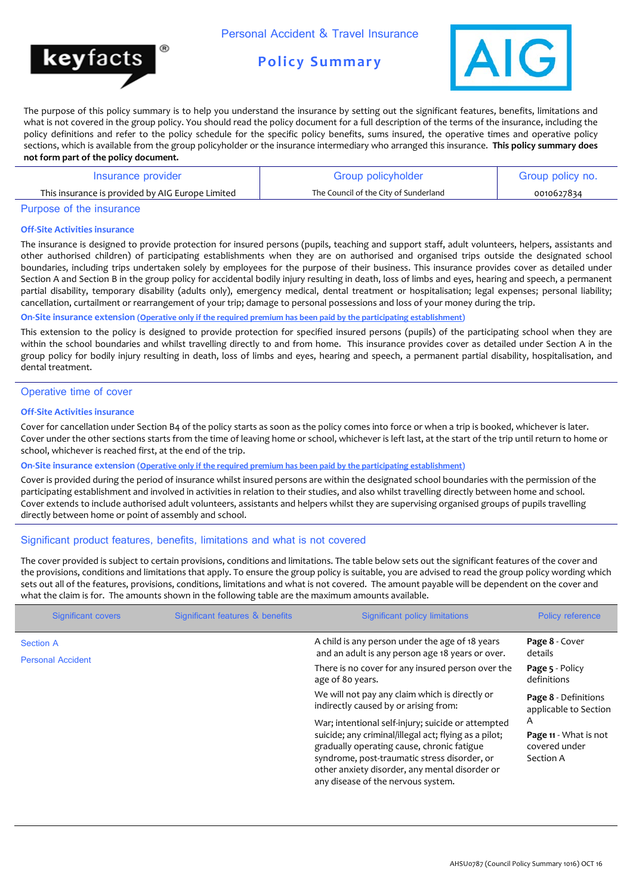

# **Policy Summary**



The purpose of this policy summary is to help you understand the insurance by setting out the significant features, benefits, limitations and what is not covered in the group policy. You should read the policy document for a full description of the terms of the insurance, including the policy definitions and refer to the policy schedule for the specific policy benefits, sums insured, the operative times and operative policy sections, which is available from the group policyholder or the insurance intermediary who arranged this insurance. **This policy summary does not form part of the policy document.**

| Insurance provider                               | Group policyholder                    | Group policy no. |
|--------------------------------------------------|---------------------------------------|------------------|
| This insurance is provided by AIG Europe Limited | The Council of the City of Sunderland | 0010627834       |

### Purpose of the insurance

#### **Off-Site Activities insurance**

The insurance is designed to provide protection for insured persons (pupils, teaching and support staff, adult volunteers, helpers, assistants and other authorised children) of participating establishments when they are on authorised and organised trips outside the designated school boundaries, including trips undertaken solely by employees for the purpose of their business. This insurance provides cover as detailed under Section A and Section B in the group policy for accidental bodily injury resulting in death, loss of limbs and eyes, hearing and speech, a permanent partial disability, temporary disability (adults only), emergency medical, dental treatment or hospitalisation; legal expenses; personal liability; cancellation, curtailment or rearrangement of your trip; damage to personal possessions and loss of your money during the trip.

#### **On-Site insurance extension (Operative only if the required premium has been paid by the participating establishment)**

This extension to the policy is designed to provide protection for specified insured persons (pupils) of the participating school when they are within the school boundaries and whilst travelling directly to and from home. This insurance provides cover as detailed under Section A in the group policy for bodily injury resulting in death, loss of limbs and eyes, hearing and speech, a permanent partial disability, hospitalisation, and dental treatment.

#### Operative time of cover

## **Off-Site Activities insurance**

Cover for cancellation under Section B4 of the policy starts as soon as the policy comes into force or when a trip is booked, whichever is later. Cover under the other sections starts from the time of leaving home or school, whichever is left last, at the start of the trip until return to home or school, whichever is reached first, at the end of the trip.

#### **On-Site insurance extension (Operative only if the required premium has been paid by the participating establishment)**

Cover is provided during the period of insurance whilst insured persons are within the designated school boundaries with the permission of the participating establishment and involved in activities in relation to their studies, and also whilst travelling directly between home and school. Cover extends to include authorised adult volunteers, assistants and helpers whilst they are supervising organised groups of pupils travelling directly between home or point of assembly and school.

#### Significant product features, benefits, limitations and what is not covered

The cover provided is subject to certain provisions, conditions and limitations. The table below sets out the significant features of the cover and the provisions, conditions and limitations that apply. To ensure the group policy is suitable, you are advised to read the group policy wording which sets out all of the features, provisions, conditions, limitations and what is not covered. The amount payable will be dependent on the cover and what the claim is for. The amounts shown in the following table are the maximum amounts available.

| <b>Significant covers</b> | Significant features & benefits                                                                                                                                                                                                                                                                   | <b>Significant policy limitations</b>                                                               | <b>Policy reference</b>                       |
|---------------------------|---------------------------------------------------------------------------------------------------------------------------------------------------------------------------------------------------------------------------------------------------------------------------------------------------|-----------------------------------------------------------------------------------------------------|-----------------------------------------------|
| <b>Section A</b>          |                                                                                                                                                                                                                                                                                                   | A child is any person under the age of 18 years<br>and an adult is any person age 18 years or over. | Page 8 - Cover<br>details                     |
| <b>Personal Accident</b>  |                                                                                                                                                                                                                                                                                                   | There is no cover for any insured person over the<br>age of 80 years.                               | Page 5 - Policy<br>definitions                |
|                           |                                                                                                                                                                                                                                                                                                   | We will not pay any claim which is directly or<br>indirectly caused by or arising from:             | Page 8 - Definitions<br>applicable to Section |
|                           | War; intentional self-injury; suicide or attempted<br>suicide; any criminal/illegal act; flying as a pilot;<br>gradually operating cause, chronic fatigue<br>syndrome, post-traumatic stress disorder, or<br>other anxiety disorder, any mental disorder or<br>any disease of the nervous system. | A<br>Page 11 - What is not<br>covered under<br>Section A                                            |                                               |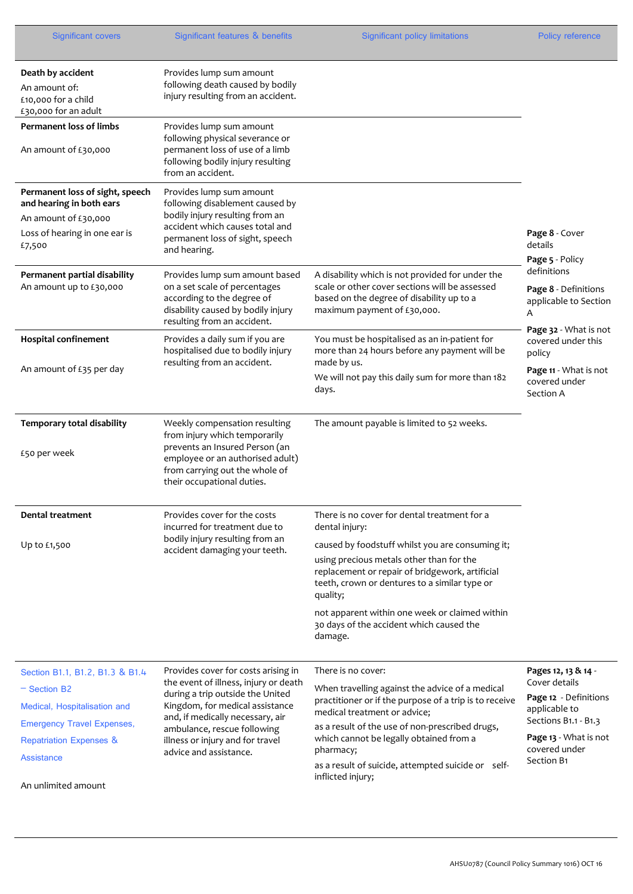| <b>Significant covers</b>                                                                                                                                                                                | Significant features & benefits                                                                                                                                                                                                                                                      | <b>Significant policy limitations</b>                                                                                                                                                                                                                                                                                                                                                   | <b>Policy reference</b>                                                                                                                                        |
|----------------------------------------------------------------------------------------------------------------------------------------------------------------------------------------------------------|--------------------------------------------------------------------------------------------------------------------------------------------------------------------------------------------------------------------------------------------------------------------------------------|-----------------------------------------------------------------------------------------------------------------------------------------------------------------------------------------------------------------------------------------------------------------------------------------------------------------------------------------------------------------------------------------|----------------------------------------------------------------------------------------------------------------------------------------------------------------|
| Death by accident<br>An amount of:<br>£10,000 for a child<br>£30,000 for an adult                                                                                                                        | Provides lump sum amount<br>following death caused by bodily<br>injury resulting from an accident.                                                                                                                                                                                   |                                                                                                                                                                                                                                                                                                                                                                                         |                                                                                                                                                                |
| <b>Permanent loss of limbs</b><br>An amount of £30,000                                                                                                                                                   | Provides lump sum amount<br>following physical severance or<br>permanent loss of use of a limb<br>following bodily injury resulting<br>from an accident.                                                                                                                             |                                                                                                                                                                                                                                                                                                                                                                                         |                                                                                                                                                                |
| Permanent loss of sight, speech<br>and hearing in both ears<br>An amount of £30,000<br>Loss of hearing in one ear is<br>£7,500                                                                           | Provides lump sum amount<br>following disablement caused by<br>bodily injury resulting from an<br>accident which causes total and<br>permanent loss of sight, speech<br>and hearing.                                                                                                 |                                                                                                                                                                                                                                                                                                                                                                                         | Page 8 - Cover<br>details<br>Page 5 - Policy                                                                                                                   |
| Permanent partial disability<br>An amount up to £30,000                                                                                                                                                  | Provides lump sum amount based<br>on a set scale of percentages<br>according to the degree of<br>disability caused by bodily injury<br>resulting from an accident.                                                                                                                   | A disability which is not provided for under the<br>scale or other cover sections will be assessed<br>based on the degree of disability up to a<br>maximum payment of £30,000.                                                                                                                                                                                                          | definitions<br>Page 8 - Definitions<br>applicable to Section<br>Α                                                                                              |
| <b>Hospital confinement</b><br>An amount of £35 per day                                                                                                                                                  | Provides a daily sum if you are<br>hospitalised due to bodily injury<br>resulting from an accident.                                                                                                                                                                                  | You must be hospitalised as an in-patient for<br>more than 24 hours before any payment will be<br>made by us.<br>We will not pay this daily sum for more than 182<br>days.                                                                                                                                                                                                              | Page 32 - What is not<br>covered under this<br>policy<br>Page 11 - What is not<br>covered under<br>Section A                                                   |
| Temporary total disability<br>£50 per week                                                                                                                                                               | Weekly compensation resulting<br>from injury which temporarily<br>prevents an Insured Person (an<br>employee or an authorised adult)<br>from carrying out the whole of<br>their occupational duties.                                                                                 | The amount payable is limited to 52 weeks.                                                                                                                                                                                                                                                                                                                                              |                                                                                                                                                                |
| <b>Dental treatment</b><br>Up to £1,500                                                                                                                                                                  | Provides cover for the costs<br>incurred for treatment due to<br>bodily injury resulting from an<br>accident damaging your teeth.                                                                                                                                                    | There is no cover for dental treatment for a<br>dental injury:<br>caused by foodstuff whilst you are consuming it;<br>using precious metals other than for the<br>replacement or repair of bridgework, artificial<br>teeth, crown or dentures to a similar type or<br>quality;<br>not apparent within one week or claimed within<br>30 days of the accident which caused the<br>damage. |                                                                                                                                                                |
| Section B1.1, B1.2, B1.3 & B1.4<br>$-$ Section B2<br>Medical, Hospitalisation and<br><b>Emergency Travel Expenses,</b><br><b>Repatriation Expenses &amp;</b><br><b>Assistance</b><br>An unlimited amount | Provides cover for costs arising in<br>the event of illness, injury or death<br>during a trip outside the United<br>Kingdom, for medical assistance<br>and, if medically necessary, air<br>ambulance, rescue following<br>illness or injury and for travel<br>advice and assistance. | There is no cover:<br>When travelling against the advice of a medical<br>practitioner or if the purpose of a trip is to receive<br>medical treatment or advice;<br>as a result of the use of non-prescribed drugs,<br>which cannot be legally obtained from a<br>pharmacy;<br>as a result of suicide, attempted suicide or self-<br>inflicted injury;                                   | Pages 12, 13 & 14 -<br>Cover details<br>Page 12 - Definitions<br>applicable to<br>Sections B1.1 - B1.3<br>Page 13 - What is not<br>covered under<br>Section B1 |

<u>.</u>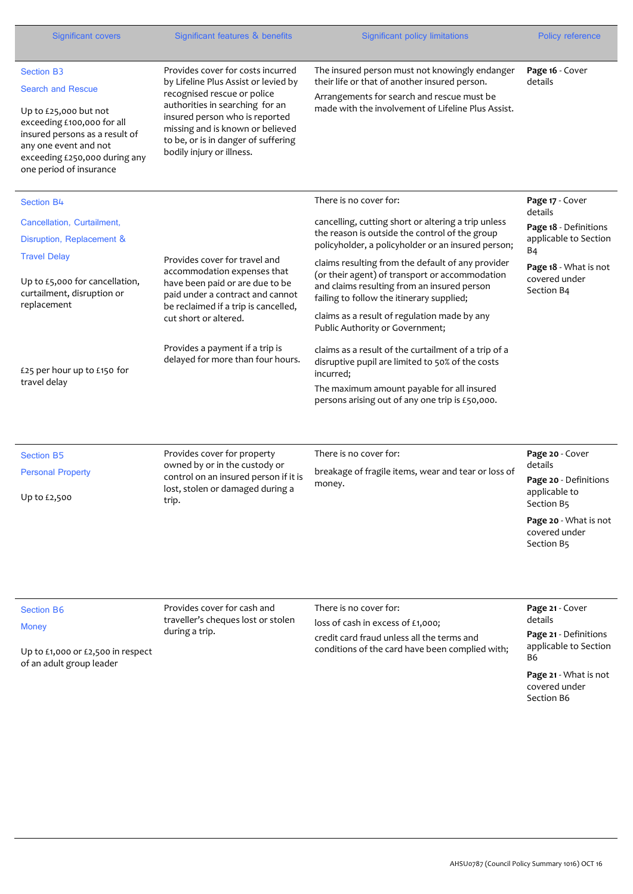| Significant covers                                                                                                                                                                                                          | Significant features & benefits                                                                                                                                                                                                                                                       | <b>Significant policy limitations</b>                                                                                                                                                                                                                                                                     | <b>Policy reference</b>                                                            |
|-----------------------------------------------------------------------------------------------------------------------------------------------------------------------------------------------------------------------------|---------------------------------------------------------------------------------------------------------------------------------------------------------------------------------------------------------------------------------------------------------------------------------------|-----------------------------------------------------------------------------------------------------------------------------------------------------------------------------------------------------------------------------------------------------------------------------------------------------------|------------------------------------------------------------------------------------|
| <b>Section B3</b><br><b>Search and Rescue</b><br>Up to £25,000 but not<br>exceeding £100,000 for all<br>insured persons as a result of<br>any one event and not<br>exceeding £250,000 during any<br>one period of insurance | Provides cover for costs incurred<br>by Lifeline Plus Assist or levied by<br>recognised rescue or police<br>authorities in searching for an<br>insured person who is reported<br>missing and is known or believed<br>to be, or is in danger of suffering<br>bodily injury or illness. | The insured person must not knowingly endanger<br>their life or that of another insured person.<br>Arrangements for search and rescue must be<br>made with the involvement of Lifeline Plus Assist.                                                                                                       | Page 16 - Cover<br>details                                                         |
| Section B4                                                                                                                                                                                                                  |                                                                                                                                                                                                                                                                                       | There is no cover for:                                                                                                                                                                                                                                                                                    | Page 17 - Cover                                                                    |
| Cancellation, Curtailment,<br>Disruption, Replacement &<br><b>Travel Delay</b>                                                                                                                                              | Provides cover for travel and                                                                                                                                                                                                                                                         | cancelling, cutting short or altering a trip unless<br>the reason is outside the control of the group<br>policyholder, a policyholder or an insured person;                                                                                                                                               | details<br>Page 18 - Definitions<br>applicable to Section<br><b>B4</b>             |
| Up to £5,000 for cancellation,<br>curtailment, disruption or<br>replacement                                                                                                                                                 | accommodation expenses that<br>have been paid or are due to be<br>paid under a contract and cannot<br>be reclaimed if a trip is cancelled,                                                                                                                                            | claims resulting from the default of any provider<br>(or their agent) of transport or accommodation<br>and claims resulting from an insured person<br>failing to follow the itinerary supplied;                                                                                                           | Page 18 - What is not<br>covered under<br>Section B4                               |
| £25 per hour up to £150 for<br>travel delay                                                                                                                                                                                 | cut short or altered.<br>Provides a payment if a trip is<br>delayed for more than four hours.                                                                                                                                                                                         | claims as a result of regulation made by any<br>Public Authority or Government;<br>claims as a result of the curtailment of a trip of a<br>disruptive pupil are limited to 50% of the costs<br>incurred;<br>The maximum amount payable for all insured<br>persons arising out of any one trip is £50,000. |                                                                                    |
|                                                                                                                                                                                                                             |                                                                                                                                                                                                                                                                                       |                                                                                                                                                                                                                                                                                                           |                                                                                    |
| <b>Section B5</b><br><b>Personal Property</b><br>Up to £2,500                                                                                                                                                               | Provides cover for property<br>owned by or in the custody or<br>control on an insured person if it is<br>lost, stolen or damaged during a<br>trip.                                                                                                                                    | There is no cover for:<br>breakage of fragile items, wear and tear or loss of<br>money.                                                                                                                                                                                                                   | Page 20 - Cover<br>details<br>Page 20 - Definitions<br>applicable to<br>Section B5 |
|                                                                                                                                                                                                                             |                                                                                                                                                                                                                                                                                       |                                                                                                                                                                                                                                                                                                           | Page 20 - What is not<br>covered under<br>Section B5                               |
|                                                                                                                                                                                                                             |                                                                                                                                                                                                                                                                                       |                                                                                                                                                                                                                                                                                                           |                                                                                    |
| <b>Section B6</b>                                                                                                                                                                                                           | Provides cover for cash and<br>traveller's cheques lost or stolen                                                                                                                                                                                                                     | There is no cover for:<br>loss of cash in excess of £1,000;                                                                                                                                                                                                                                               | Page 21 - Cover<br>details                                                         |
| <b>Money</b><br>Up to £1,000 or £2,500 in respect<br>of an adult group leader                                                                                                                                               | during a trip.                                                                                                                                                                                                                                                                        | credit card fraud unless all the terms and<br>conditions of the card have been complied with;                                                                                                                                                                                                             | Page 21 - Definitions<br>applicable to Section<br>B6                               |
|                                                                                                                                                                                                                             |                                                                                                                                                                                                                                                                                       |                                                                                                                                                                                                                                                                                                           | Page 21 - What is not                                                              |

covered under Section B6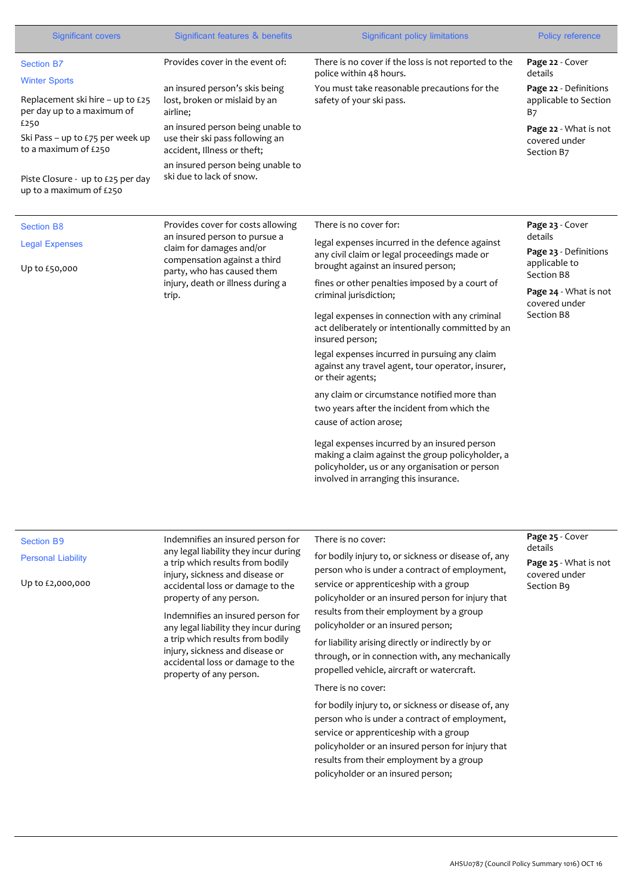| <b>Significant covers</b>                                                              | Significant features & benefits                                                                                                                                                                                                                                                 | <b>Significant policy limitations</b>                                                                                                                                                                                 | Policy reference                                             |
|----------------------------------------------------------------------------------------|---------------------------------------------------------------------------------------------------------------------------------------------------------------------------------------------------------------------------------------------------------------------------------|-----------------------------------------------------------------------------------------------------------------------------------------------------------------------------------------------------------------------|--------------------------------------------------------------|
| <b>Section B7</b>                                                                      | Provides cover in the event of:                                                                                                                                                                                                                                                 | There is no cover if the loss is not reported to the<br>police within 48 hours.                                                                                                                                       | Page 22 - Cover<br>details                                   |
| <b>Winter Sports</b><br>Replacement ski hire - up to £25<br>per day up to a maximum of | an insured person's skis being<br>lost, broken or mislaid by an<br>airline;                                                                                                                                                                                                     | You must take reasonable precautions for the<br>safety of your ski pass.                                                                                                                                              | Page 22 - Definitions<br>applicable to Section<br><b>B</b> 7 |
| £250<br>Ski Pass – up to £75 per week up<br>to a maximum of £250                       | an insured person being unable to<br>use their ski pass following an<br>accident, Illness or theft;<br>an insured person being unable to<br>ski due to lack of snow.                                                                                                            |                                                                                                                                                                                                                       | Page 22 - What is not<br>covered under<br>Section B7         |
| Piste Closure - up to £25 per day<br>up to a maximum of £250                           |                                                                                                                                                                                                                                                                                 |                                                                                                                                                                                                                       |                                                              |
| <b>Section B8</b>                                                                      | Provides cover for costs allowing                                                                                                                                                                                                                                               | There is no cover for:                                                                                                                                                                                                | Page 23 - Cover                                              |
| <b>Legal Expenses</b>                                                                  | an insured person to pursue a<br>claim for damages and/or<br>compensation against a third                                                                                                                                                                                       | legal expenses incurred in the defence against<br>any civil claim or legal proceedings made or<br>brought against an insured person;                                                                                  | details<br>Page 23 - Definitions<br>applicable to            |
| Up to £50,000                                                                          | party, who has caused them<br>injury, death or illness during a<br>trip.                                                                                                                                                                                                        | fines or other penalties imposed by a court of<br>criminal jurisdiction;                                                                                                                                              | Section B8<br>Page 24 - What is not                          |
|                                                                                        |                                                                                                                                                                                                                                                                                 | legal expenses in connection with any criminal<br>act deliberately or intentionally committed by an<br>insured person;                                                                                                | covered under<br>Section B8                                  |
|                                                                                        |                                                                                                                                                                                                                                                                                 | legal expenses incurred in pursuing any claim<br>against any travel agent, tour operator, insurer,<br>or their agents;                                                                                                |                                                              |
|                                                                                        |                                                                                                                                                                                                                                                                                 | any claim or circumstance notified more than<br>two years after the incident from which the                                                                                                                           |                                                              |
|                                                                                        |                                                                                                                                                                                                                                                                                 | cause of action arose;<br>legal expenses incurred by an insured person<br>making a claim against the group policyholder, a<br>policyholder, us or any organisation or person<br>involved in arranging this insurance. |                                                              |
|                                                                                        |                                                                                                                                                                                                                                                                                 |                                                                                                                                                                                                                       |                                                              |
| <b>Section B9</b>                                                                      | Indemnifies an insured person for<br>any legal liability they incur during                                                                                                                                                                                                      | There is no cover:                                                                                                                                                                                                    | Page 25 - Cover<br>details                                   |
| <b>Personal Liability</b>                                                              | a trip which results from bodily<br>injury, sickness and disease or                                                                                                                                                                                                             | for bodily injury to, or sickness or disease of, any<br>person who is under a contract of employment,                                                                                                                 | Page 25 - What is not<br>covered under                       |
| Up to £2,000,000                                                                       | accidental loss or damage to the<br>property of any person.<br>Indemnifies an insured person for<br>any legal liability they incur during<br>a trip which results from bodily<br>injury, sickness and disease or<br>accidental loss or damage to the<br>property of any person. | service or apprenticeship with a group                                                                                                                                                                                | Section B9                                                   |
|                                                                                        |                                                                                                                                                                                                                                                                                 | policyholder or an insured person for injury that<br>results from their employment by a group                                                                                                                         |                                                              |
|                                                                                        |                                                                                                                                                                                                                                                                                 | policyholder or an insured person;<br>for liability arising directly or indirectly by or                                                                                                                              |                                                              |
|                                                                                        |                                                                                                                                                                                                                                                                                 | through, or in connection with, any mechanically<br>propelled vehicle, aircraft or watercraft.                                                                                                                        |                                                              |
|                                                                                        | There is no cover:                                                                                                                                                                                                                                                              |                                                                                                                                                                                                                       |                                                              |
|                                                                                        |                                                                                                                                                                                                                                                                                 | for bodily injury to, or sickness or disease of, any<br>person who is under a contract of employment,                                                                                                                 |                                                              |
|                                                                                        |                                                                                                                                                                                                                                                                                 | service or apprenticeship with a group                                                                                                                                                                                |                                                              |
|                                                                                        |                                                                                                                                                                                                                                                                                 | policyholder or an insured person for injury that<br>results from their employment by a group<br>policyholder or an insured person;                                                                                   |                                                              |
|                                                                                        |                                                                                                                                                                                                                                                                                 |                                                                                                                                                                                                                       |                                                              |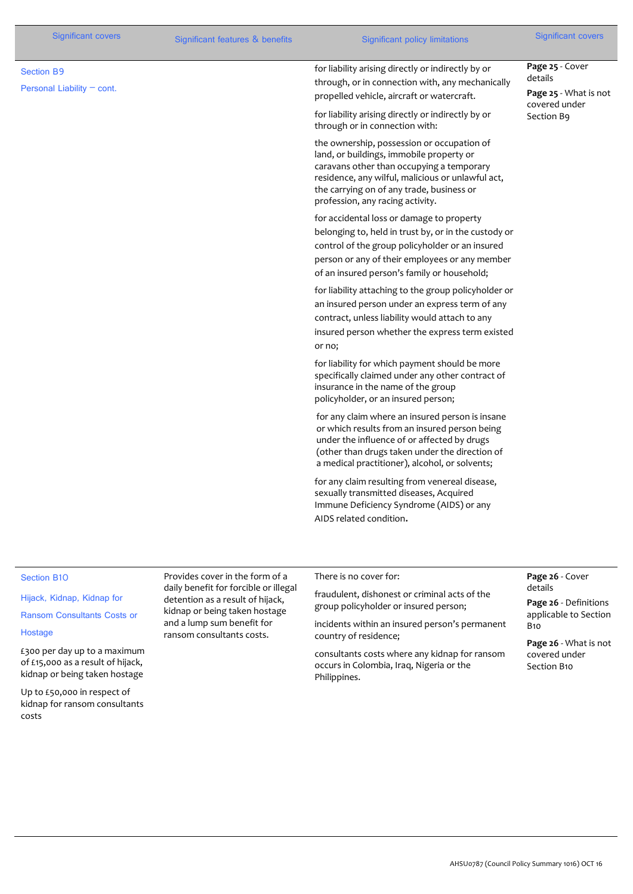| <b>Significant covers</b>                       | Significant features & benefits | <b>Significant policy limitations</b>                                                                                                                                                                                                                                     | <b>Significant covers</b>                           |
|-------------------------------------------------|---------------------------------|---------------------------------------------------------------------------------------------------------------------------------------------------------------------------------------------------------------------------------------------------------------------------|-----------------------------------------------------|
| <b>Section B9</b><br>Personal Liability - cont. |                                 | for liability arising directly or indirectly by or<br>through, or in connection with, any mechanically<br>propelled vehicle, aircraft or watercraft.                                                                                                                      | Page 25 - Cover<br>details<br>Page 25 - What is not |
|                                                 |                                 | for liability arising directly or indirectly by or<br>through or in connection with:                                                                                                                                                                                      | covered under<br>Section B9                         |
|                                                 |                                 | the ownership, possession or occupation of<br>land, or buildings, immobile property or<br>caravans other than occupying a temporary<br>residence, any wilful, malicious or unlawful act,<br>the carrying on of any trade, business or<br>profession, any racing activity. |                                                     |
|                                                 |                                 | for accidental loss or damage to property<br>belonging to, held in trust by, or in the custody or<br>control of the group policyholder or an insured<br>person or any of their employees or any member<br>of an insured person's family or household;                     |                                                     |
|                                                 |                                 | for liability attaching to the group policyholder or<br>an insured person under an express term of any<br>contract, unless liability would attach to any<br>insured person whether the express term existed<br>or no;                                                     |                                                     |
|                                                 |                                 | for liability for which payment should be more<br>specifically claimed under any other contract of<br>insurance in the name of the group<br>policyholder, or an insured person;                                                                                           |                                                     |
|                                                 |                                 | for any claim where an insured person is insane<br>or which results from an insured person being<br>under the influence of or affected by drugs<br>(other than drugs taken under the direction of<br>a medical practitioner), alcohol, or solvents;                       |                                                     |
|                                                 |                                 | for any claim resulting from venereal disease,<br>sexually transmitted diseases, Acquired<br>Immune Deficiency Syndrome (AIDS) or any<br>AIDS related condition.                                                                                                          |                                                     |
| <b>Section B10</b>                              | Provides cover in the form of a | There is no cover for:                                                                                                                                                                                                                                                    | Page 26 - Cover                                     |

#### Hijack, Kidnap, Kidnap for

Ransom Consultants Costs or

# Hostage

£300 per day up to a maximum of £15,000 as a result of hijack, kidnap or being taken hostage

Up to £50,000 in respect of kidnap for ransom consultants costs

daily benefit for forcible or illegal detention as a result of hijack, kidnap or being taken hostage and a lump sum benefit for ransom consultants costs.

fraudulent, dishonest or criminal acts of the group policyholder or insured person;

incidents within an insured person's permanent country of residence;

consultants costs where any kidnap for ransom occurs in Colombia, Iraq, Nigeria or the Philippines.

# details

**Page 26** - Definitions applicable to Section B10

**Page 26** - What is not covered under Section B10